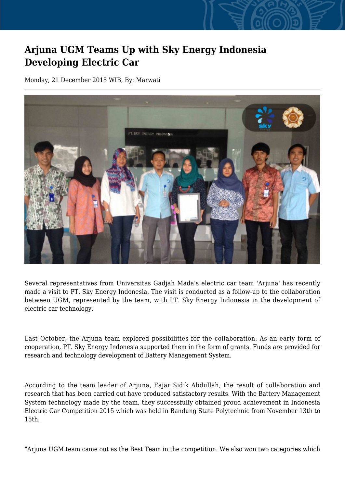## **Arjuna UGM Teams Up with Sky Energy Indonesia Developing Electric Car**

Monday, 21 December 2015 WIB, By: Marwati



Several representatives from Universitas Gadjah Mada's electric car team 'Arjuna' has recently made a visit to PT. Sky Energy Indonesia. The visit is conducted as a follow-up to the collaboration between UGM, represented by the team, with PT. Sky Energy Indonesia in the development of electric car technology.

Last October, the Arjuna team explored possibilities for the collaboration. As an early form of cooperation, PT. Sky Energy Indonesia supported them in the form of grants. Funds are provided for research and technology development of Battery Management System.

According to the team leader of Arjuna, Fajar Sidik Abdullah, the result of collaboration and research that has been carried out have produced satisfactory results. With the Battery Management System technology made by the team, they successfully obtained proud achievement in Indonesia Electric Car Competition 2015 which was held in Bandung State Polytechnic from November 13th to 15th.

"Arjuna UGM team came out as the Best Team in the competition. We also won two categories which